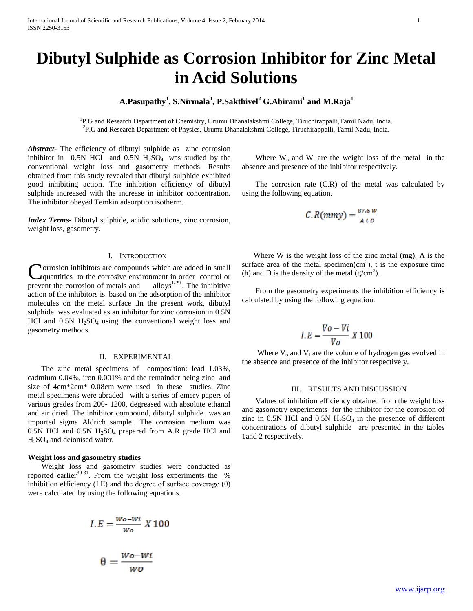# **Dibutyl Sulphide as Corrosion Inhibitor for Zinc Metal in Acid Solutions**

## **A.Pasupathy<sup>1</sup> , S.Nirmala<sup>1</sup> , P.Sakthivel<sup>2</sup> G.Abirami<sup>1</sup> and M.Raja<sup>1</sup>**

<sup>1</sup>P.G and Research Department of Chemistry, Urumu Dhanalakshmi College, Tiruchirappalli,Tamil Nadu, India. 2 P.G and Research Department of Physics, Urumu Dhanalakshmi College, Tiruchirappalli, Tamil Nadu, India.

*Abstract***-** The efficiency of dibutyl sulphide as zinc corrosion inhibitor in  $0.5N$  HCl and  $0.5N$  H<sub>2</sub>SO<sub>4</sub> was studied by the conventional weight loss and gasometry methods. Results obtained from this study revealed that dibutyl sulphide exhibited good inhibiting action. The inhibition efficiency of dibutyl sulphide increased with the increase in inhibitor concentration. The inhibitor obeyed Temkin adsorption isotherm.

*Index Terms*- Dibutyl sulphide, acidic solutions, zinc corrosion, weight loss, gasometry.

#### I. INTRODUCTION

orrosion inhibitors are compounds which are added in small quantities to the corrosive environment in order control or Corrosion inhibitors are compounds which are added in small quantities to the corrosive environment in order control or prevent the corrosion of metals and alloys<sup>1-29.</sup>. The inhibitive action of the inhibitors is based on the adsorption of the inhibitor molecules on the metal surface .In the present work, dibutyl sulphide was evaluated as an inhibitor for zinc corrosion in 0.5N HCl and  $0.5N$  H<sub>2</sub>SO<sub>4</sub> using the conventional weight loss and gasometry methods.

### II. EXPERIMENTAL

 The zinc metal specimens of composition: lead 1.03%, cadmium 0.04%, iron 0.001% and the remainder being zinc and size of 4cm\*2cm\* 0.08cm were used in these studies. Zinc metal specimens were abraded with a series of emery papers of various grades from 200- 1200, degreased with absolute ethanol and air dried. The inhibitor compound, dibutyl sulphide was an imported sigma Aldrich sample.. The corrosion medium was 0.5N HCl and 0.5N  $H_2SO_4$  prepared from A.R grade HCl and  $H<sub>2</sub>SO<sub>4</sub>$  and deionised water.

#### **Weight loss and gasometry studies**

 Weight loss and gasometry studies were conducted as reported earlier $30-31$ . From the weight loss experiments the % inhibition efficiency (I.E) and the degree of surface coverage  $(\theta)$ were calculated by using the following equations.

$$
I.E = \frac{W_o - W_i}{W_o} X 100
$$

$$
A = \frac{W_o - W_i}{W_o}
$$

WO

Where  $W_0$  and  $W_i$  are the weight loss of the metal in the absence and presence of the inhibitor respectively.

 The corrosion rate (C.R) of the metal was calculated by using the following equation.

$$
C.R(mmy) = \frac{87.6 W}{A t D}
$$

 Where W is the weight loss of the zinc metal (mg), A is the surface area of the metal specimen $(cm<sup>2</sup>)$ , t is the exposure time (h) and D is the density of the metal  $(g/cm<sup>3</sup>)$ .

 From the gasometry experiments the inhibition efficiency is calculated by using the following equation.

$$
I.E = \frac{V_o - Vi}{V_o} X 100
$$

Where  $V_0$  and  $V_i$  are the volume of hydrogen gas evolved in the absence and presence of the inhibitor respectively.

#### III. RESULTS AND DISCUSSION

 Values of inhibition efficiency obtained from the weight loss and gasometry experiments for the inhibitor for the corrosion of zinc in 0.5N HCl and  $0.5N$  H<sub>2</sub>SO<sub>4</sub> in the presence of different concentrations of dibutyl sulphide are presented in the tables 1and 2 respectively.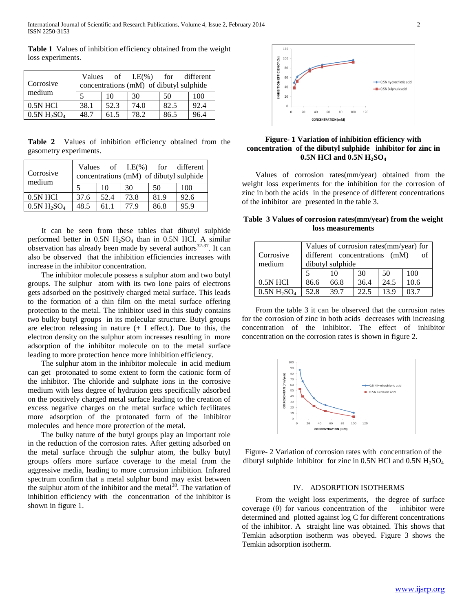International Journal of Scientific and Research Publications, Volume 4, Issue 2, February 2014 2 ISSN 2250-3153

**Table 1** Values of inhibition efficiency obtained from the weight loss experiments.

|                | Values                                  |      | of $I.E(\%)$ | for  | different |  |
|----------------|-----------------------------------------|------|--------------|------|-----------|--|
| Corrosive      | concentrations (mM) of dibutyl sulphide |      |              |      |           |  |
| medium         |                                         | 10   | 30           | 50   | 100       |  |
| $0.5N$ HCl     | 38.1                                    | 52.3 | 74.0         | 82.5 | 92.4      |  |
| $0.5N H_2SO_4$ | 48.7                                    | 61.5 | 78.2         | 86.5 | 96.4      |  |

**Table 2** Values of inhibition efficiency obtained from the gasometry experiments.

| Corrosive<br>medium | of $I.E(\%)$ for different<br>Values<br>concentrations (mM) of dibutyl sulphide |      |      |      |      |  |
|---------------------|---------------------------------------------------------------------------------|------|------|------|------|--|
|                     |                                                                                 | 10   | 30   | 50   | 100  |  |
| $0.5N$ HCl          | 37.6                                                                            | 52.4 | 73.8 | 81.9 | 92.6 |  |
| $0.5N H_2SO_4$      | 48.5                                                                            | 61.1 | 77.9 | 86.8 | 95.9 |  |

 It can be seen from these tables that dibutyl sulphide performed better in  $0.5N$  H<sub>2</sub>SO<sub>4</sub> than in  $0.5N$  HCl. A similar observation has already been made by several authors<sup>32-37</sup>. It can also be observed that the inhibition efficiencies increases with increase in the inhibitor concentration.

 The inhibitor molecule possess a sulphur atom and two butyl groups. The sulphur atom with its two lone pairs of electrons gets adsorbed on the positively charged metal surface. This leads to the formation of a thin film on the metal surface offering protection to the metal. The inhibitor used in this study contains two bulky butyl groups in its molecular structure. Butyl groups are electron releasing in nature  $(+ 1)$  effect.). Due to this, the electron density on the sulphur atom increases resulting in more adsorption of the inhibitor molecule on to the metal surface leading to more protection hence more inhibition efficiency.

 The sulphur atom in the inhibitor molecule in acid medium can get protonated to some extent to form the cationic form of the inhibitor. The chloride and sulphate ions in the corrosive medium with less degree of hydration gets specifically adsorbed on the positively charged metal surface leading to the creation of excess negative charges on the metal surface which fecilitates more adsorption of the protonated form of the inhibitor molecules and hence more protection of the metal.

 The bulky nature of the butyl groups play an important role in the reduction of the corrosion rates. After getting adsorbed on the metal surface through the sulphur atom, the bulky butyl groups offers more surface coverage to the metal from the aggressive media, leading to more corrosion inhibition. Infrared spectrum confirm that a metal sulphur bond may exist between the sulphur atom of the inhibitor and the metal<sup>38</sup>. The variation of inhibition efficiency with the concentration of the inhibitor is shown in figure 1.



## **Figure- 1 Variation of inhibition efficiency with concentration of the dibutyl sulphide inhibitor for zinc in 0.5N HCl and 0.5N H2SO<sup>4</sup>**

 Values of corrosion rates(mm/year) obtained from the weight loss experiments for the inhibition for the corrosion of zinc in both the acids in the presence of different concentrations of the inhibitor are presented in the table 3.

**Table 3 Values of corrosion rates(mm/year) from the weight loss measurements**

| Corrosive<br>medium | Values of corrosion rates(mm/year) for<br>different concentrations (mM)<br>of<br>dibutyl sulphide |      |      |      |      |  |  |
|---------------------|---------------------------------------------------------------------------------------------------|------|------|------|------|--|--|
|                     |                                                                                                   | 10   | 30   | 50   | 100  |  |  |
| $0.5N$ HCl          | 86.6                                                                                              | 66.8 | 36.4 | 24.5 | 10.6 |  |  |
| $0.5N H_2SO_4$      | 52.8                                                                                              | 39.7 | 22.5 | 139  | 03.7 |  |  |

 From the table 3 it can be observed that the corrosion rates for the corrosion of zinc in both acids decreases with increasing concentration of the inhibitor. The effect of inhibitor concentration on the corrosion rates is shown in figure 2.



Figure- 2 Variation of corrosion rates with concentration of the dibutyl sulphide inhibitor for zinc in 0.5N HCl and  $0.5N H_2SO_4$ 

#### IV. ADSORPTION ISOTHERMS

 From the weight loss experiments, the degree of surface coverage (θ) for various concentration of the inhibitor were determined and plotted against log C for different concentrations of the inhibitor. A straight line was obtained. This shows that Temkin adsorption isotherm was obeyed. Figure 3 shows the Temkin adsorption isotherm.